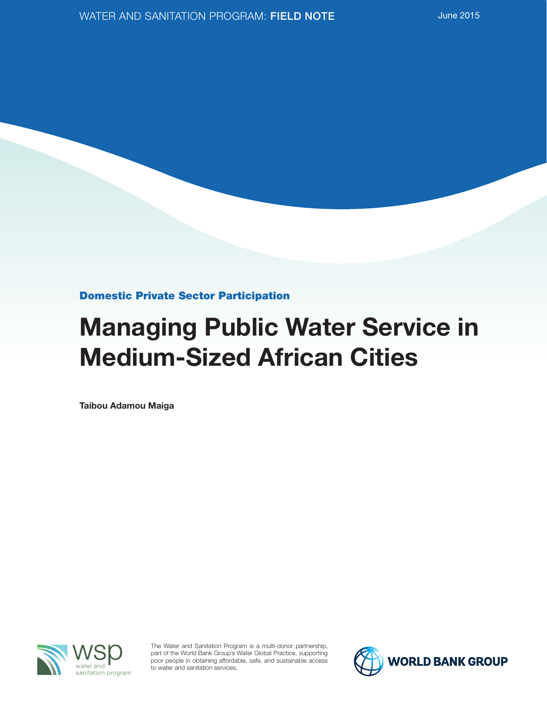Domestic Private Sector Participation

# Managing Public Water Service in Medium-Sized African Cities

Taibou Adamou Maiga



The Water and Sanitation Program is a multi-donor partnership, part of the World Bank Group's Water Global Practice, supporting poor people in obtaining affordable, safe, and sustainable access to water and sanitation services.

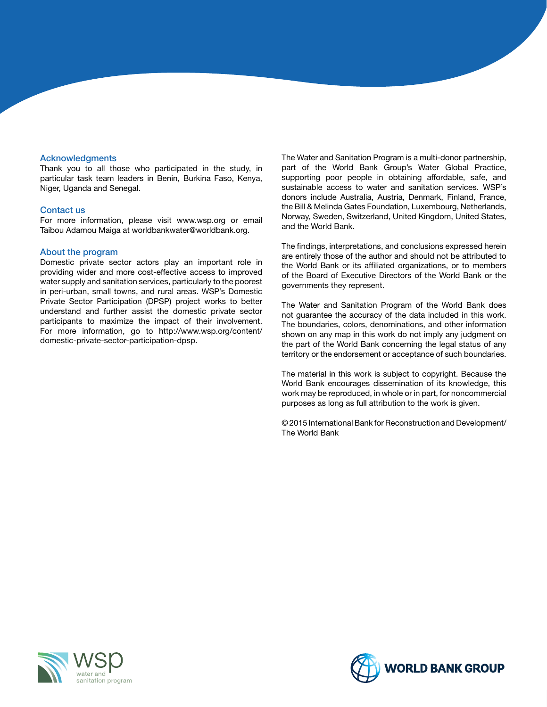#### **Acknowledgments**

Thank you to all those who participated in the study, in particular task team leaders in Benin, Burkina Faso, Kenya, Niger, Uganda and Senegal.

#### Contact us

For more information, please visit www.wsp.org or email Taibou Adamou Maiga at worldbankwater@worldbank.org.

#### About the program

Domestic private sector actors play an important role in providing wider and more cost-effective access to improved water supply and sanitation services, particularly to the poorest in peri-urban, small towns, and rural areas. WSP's Domestic Private Sector Participation (DPSP) project works to better understand and further assist the domestic private sector participants to maximize the impact of their involvement. For more information, go to http://www.wsp.org/content/ domestic-private-sector-participation-dpsp.

The Water and Sanitation Program is a multi-donor partnership, part of the World Bank Group's Water Global Practice, supporting poor people in obtaining affordable, safe, and sustainable access to water and sanitation services. WSP's donors include Australia, Austria, Denmark, Finland, France, the Bill & Melinda Gates Foundation, Luxembourg, Netherlands, Norway, Sweden, Switzerland, United Kingdom, United States, and the World Bank.

The findings, interpretations, and conclusions expressed herein are entirely those of the author and should not be attributed to the World Bank or its affiliated organizations, or to members of the Board of Executive Directors of the World Bank or the governments they represent.

The Water and Sanitation Program of the World Bank does not guarantee the accuracy of the data included in this work. The boundaries, colors, denominations, and other information shown on any map in this work do not imply any judgment on the part of the World Bank concerning the legal status of any territory or the endorsement or acceptance of such boundaries.

The material in this work is subject to copyright. Because the World Bank encourages dissemination of its knowledge, this work may be reproduced, in whole or in part, for noncommercial purposes as long as full attribution to the work is given.

© 2015 International Bank for Reconstruction and Development/ The World Bank



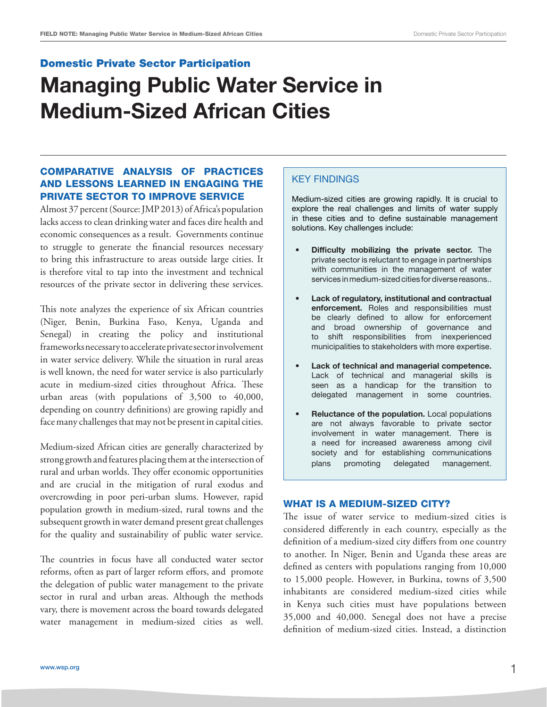#### Domestic Private Sector Participation

## Managing Public Water Service in Medium-Sized African Cities

### COMPARATIVE ANALYSIS OF PRACTICES AND LESSONS LEARNED IN ENGAGING THE PRIVATE SECTOR TO IMPROVE SERVICE

Almost 37 percent (Source: JMP 2013) of Africa's population lacks access to clean drinking water and faces dire health and economic consequences as a result. Governments continue to struggle to generate the financial resources necessary to bring this infrastructure to areas outside large cities. It is therefore vital to tap into the investment and technical resources of the private sector in delivering these services.

This note analyzes the experience of six African countries (Niger, Benin, Burkina Faso, Kenya, Uganda and Senegal) in creating the policy and institutional frameworks necessary to accelerate private sector involvement in water service delivery. While the situation in rural areas is well known, the need for water service is also particularly acute in medium-sized cities throughout Africa. These urban areas (with populations of 3,500 to 40,000, depending on country definitions) are growing rapidly and face many challenges that may not be present in capital cities.

Medium-sized African cities are generally characterized by strong growth and features placing them at the intersection of rural and urban worlds. They offer economic opportunities and are crucial in the mitigation of rural exodus and overcrowding in poor peri-urban slums. However, rapid population growth in medium-sized, rural towns and the subsequent growth in water demand present great challenges for the quality and sustainability of public water service.

The countries in focus have all conducted water sector reforms, often as part of larger reform effors, and promote the delegation of public water management to the private sector in rural and urban areas. Although the methods vary, there is movement across the board towards delegated water management in medium-sized cities as well.

#### Key findings

Medium-sized cities are growing rapidly. It is crucial to explore the real challenges and limits of water supply in these cities and to define sustainable management solutions. Key challenges include:

- • Difficulty mobilizing the private sector. The private sector is reluctant to engage in partnerships with communities in the management of water services in medium-sized cities for diverse reasons..
- • Lack of regulatory, institutional and contractual enforcement. Roles and responsibilities must be clearly defined to allow for enforcement and broad ownership of governance and to shift responsibilities from inexperienced municipalities to stakeholders with more expertise.
- • Lack of technical and managerial competence. Lack of technical and managerial skills is seen as a handicap for the transition to delegated management in some countries.
- Reluctance of the population. Local populations are not always favorable to private sector involvement in water management. There is a need for increased awareness among civil society and for establishing communications plans promoting delegated management.

#### WHAT IS A MEDIUM-SIZED CITY?

The issue of water service to medium-sized cities is considered differently in each country, especially as the definition of a medium-sized city differs from one country to another. In Niger, Benin and Uganda these areas are defined as centers with populations ranging from 10,000 to 15,000 people. However, in Burkina, towns of 3,500 inhabitants are considered medium-sized cities while in Kenya such cities must have populations between 35,000 and 40,000. Senegal does not have a precise definition of medium-sized cities. Instead, a distinction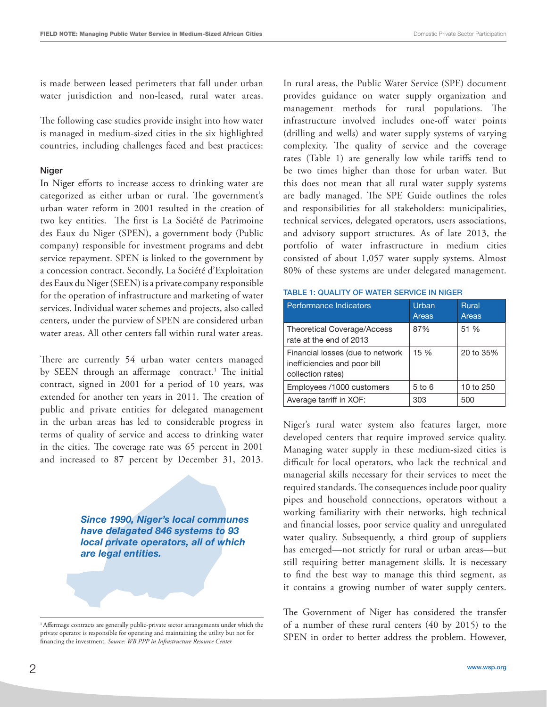is made between leased perimeters that fall under urban water jurisdiction and non-leased, rural water areas.

The following case studies provide insight into how water is managed in medium-sized cities in the six highlighted countries, including challenges faced and best practices:

#### Niger

In Niger efforts to increase access to drinking water are categorized as either urban or rural. The government's urban water reform in 2001 resulted in the creation of two key entities. The first is La Société de Patrimoine des Eaux du Niger (SPEN), a government body (Public company) responsible for investment programs and debt service repayment. SPEN is linked to the government by a concession contract. Secondly, La Société d'Exploitation des Eaux du Niger (SEEN) is a private company responsible for the operation of infrastructure and marketing of water services. Individual water schemes and projects, also called centers, under the purview of SPEN are considered urban water areas. All other centers fall within rural water areas.

There are currently 54 urban water centers managed by SEEN through an affermage contract.<sup>1</sup> The initial contract, signed in 2001 for a period of 10 years, was extended for another ten years in 2011. The creation of public and private entities for delegated management in the urban areas has led to considerable progress in terms of quality of service and access to drinking water in the cities. The coverage rate was 65 percent in 2001 and increased to 87 percent by December 31, 2013.

> *Since 1990, Niger's local communes have delagated 846 systems to 93 local private operators, all of which are legal entities.*

In rural areas, the Public Water Service (SPE) document provides guidance on water supply organization and management methods for rural populations. The infrastructure involved includes one-off water points (drilling and wells) and water supply systems of varying complexity. The quality of service and the coverage rates (Table 1) are generally low while tariffs tend to be two times higher than those for urban water. But this does not mean that all rural water supply systems are badly managed. The SPE Guide outlines the roles and responsibilities for all stakeholders: municipalities, technical services, delegated operators, users associations, and advisory support structures. As of late 2013, the portfolio of water infrastructure in medium cities consisted of about 1,057 water supply systems. Almost 80% of these systems are under delegated management.

| Performance Indicators                                                                | Urban<br>Areas | <b>Rural</b><br>Areas |
|---------------------------------------------------------------------------------------|----------------|-----------------------|
| <b>Theoretical Coverage/Access</b><br>rate at the end of 2013                         | 87%            | 51 %                  |
| Financial losses (due to network<br>inefficiencies and poor bill<br>collection rates) | 15 %           | 20 to 35%             |
| Employees /1000 customers                                                             | $5$ to $6$     | 10 to 250             |
| Average tarriff in XOF:                                                               | 303            | 500                   |

Table 1: Quality of water service in Niger

Niger's rural water system also features larger, more developed centers that require improved service quality. Managing water supply in these medium-sized cities is difficult for local operators, who lack the technical and managerial skills necessary for their services to meet the required standards. The consequences include poor quality pipes and household connections, operators without a working familiarity with their networks, high technical and financial losses, poor service quality and unregulated water quality. Subsequently, a third group of suppliers has emerged—not strictly for rural or urban areas—but still requiring better management skills. It is necessary to find the best way to manage this third segment, as it contains a growing number of water supply centers.

The Government of Niger has considered the transfer of a number of these rural centers (40 by 2015) to the SPEN in order to better address the problem. However,

<sup>&</sup>lt;sup>1</sup> Affermage contracts are generally public-private sector arrangements under which the private operator is responsible for operating and maintaining the utility but not for financing the investment. *Source: WB PPP in Infrastructure Resource Center*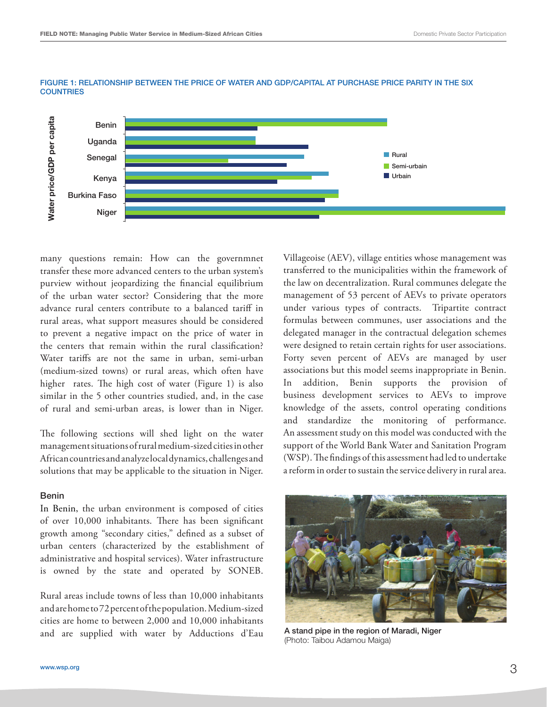

#### Figure 1: Relationship between the price of water and GDP/capital at purchase price parity in the six **COUNTRIES**

many questions remain: How can the governmnet transfer these more advanced centers to the urban system's purview without jeopardizing the financial equilibrium of the urban water sector? Considering that the more advance rural centers contribute to a balanced tariff in rural areas, what support measures should be considered to prevent a negative impact on the price of water in the centers that remain within the rural classification? Water tariffs are not the same in urban, semi-urban (medium-sized towns) or rural areas, which often have higher rates. The high cost of water (Figure 1) is also similar in the 5 other countries studied, and, in the case of rural and semi-urban areas, is lower than in Niger.

The following sections will shed light on the water management situations of rural medium-sized cities in other African countries and analyze local dynamics, challenges and solutions that may be applicable to the situation in Niger.

#### Benin

In Benin, the urban environment is composed of cities of over 10,000 inhabitants. There has been significant growth among "secondary cities," defined as a subset of urban centers (characterized by the establishment of administrative and hospital services). Water infrastructure is owned by the state and operated by SONEB.

Rural areas include towns of less than 10,000 inhabitants and are home to 72 percent of the population. Medium-sized cities are home to between 2,000 and 10,000 inhabitants and are supplied with water by Adductions d'Eau

Villageoise (AEV), village entities whose management was transferred to the municipalities within the framework of the law on decentralization. Rural communes delegate the management of 53 percent of AEVs to private operators under various types of contracts. Tripartite contract formulas between communes, user associations and the delegated manager in the contractual delegation schemes were designed to retain certain rights for user associations. Forty seven percent of AEVs are managed by user associations but this model seems inappropriate in Benin. In addition, Benin supports the provision of business development services to AEVs to improve knowledge of the assets, control operating conditions and standardize the monitoring of performance. An assessment study on this model was conducted with the support of the World Bank Water and Sanitation Program (WSP). The findings of this assessment had led to undertake a reform in order to sustain the service delivery in rural area.



A stand pipe in the region of Maradi, Niger (Photo: Taibou Adamou Maiga)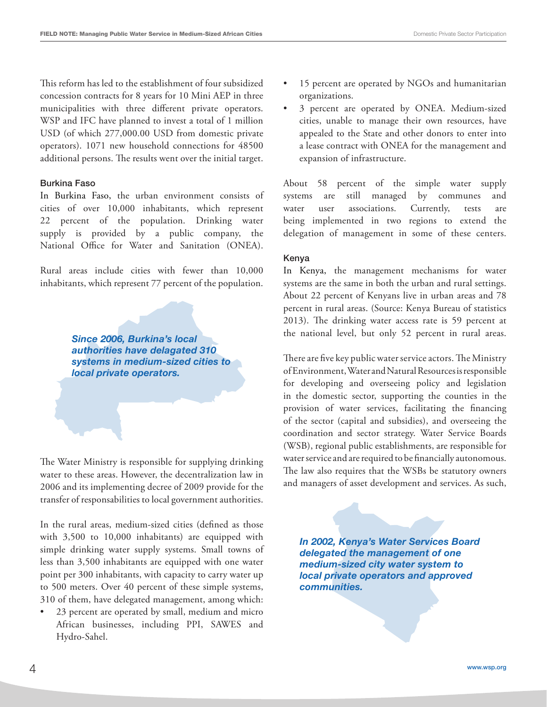This reform has led to the establishment of four subsidized concession contracts for 8 years for 10 Mini AEP in three municipalities with three different private operators. WSP and IFC have planned to invest a total of 1 million USD (of which 277,000.00 USD from domestic private operators). 1071 new household connections for 48500 additional persons. The results went over the initial target.

#### Burkina Faso

In Burkina Faso, the urban environment consists of cities of over 10,000 inhabitants, which represent 22 percent of the population. Drinking water supply is provided by a public company, the National Office for Water and Sanitation (ONEA).

Rural areas include cities with fewer than 10,000 inhabitants, which represent 77 percent of the population.

> *Since 2006, Burkina's local authorities have delagated 310 systems in medium-sized cities to local private operators.*

The Water Ministry is responsible for supplying drinking water to these areas. However, the decentralization law in 2006 and its implementing decree of 2009 provide for the transfer of responsabilities to local government authorities.

In the rural areas, medium-sized cities (defined as those with 3,500 to 10,000 inhabitants) are equipped with simple drinking water supply systems. Small towns of less than 3,500 inhabitants are equipped with one water point per 300 inhabitants, with capacity to carry water up to 500 meters. Over 40 percent of these simple systems, 310 of them, have delegated management, among which:

23 percent are operated by small, medium and micro African businesses, including PPI, SAWES and Hydro-Sahel.

- 15 percent are operated by NGOs and humanitarian organizations.
- 3 percent are operated by ONEA. Medium-sized cities, unable to manage their own resources, have appealed to the State and other donors to enter into a lease contract with ONEA for the management and expansion of infrastructure.

About 58 percent of the simple water supply systems are still managed by communes and water user associations. Currently, tests are being implemented in two regions to extend the delegation of management in some of these centers.

#### Kenya

In Kenya, the management mechanisms for water systems are the same in both the urban and rural settings. About 22 percent of Kenyans live in urban areas and 78 percent in rural areas. (Source: Kenya Bureau of statistics 2013). The drinking water access rate is 59 percent at the national level, but only 52 percent in rural areas.

There are five key public water service actors. The Ministry of Environment, Water and Natural Resources is responsible for developing and overseeing policy and legislation in the domestic sector, supporting the counties in the provision of water services, facilitating the financing of the sector (capital and subsidies), and overseeing the coordination and sector strategy. Water Service Boards (WSB), regional public establishments, are responsible for water service and are required to be financially autonomous. The law also requires that the WSBs be statutory owners and managers of asset development and services. As such,

*In 2002, Kenya's Water Services Board delegated the management of one medium-sized city water system to local private operators and approved communities.*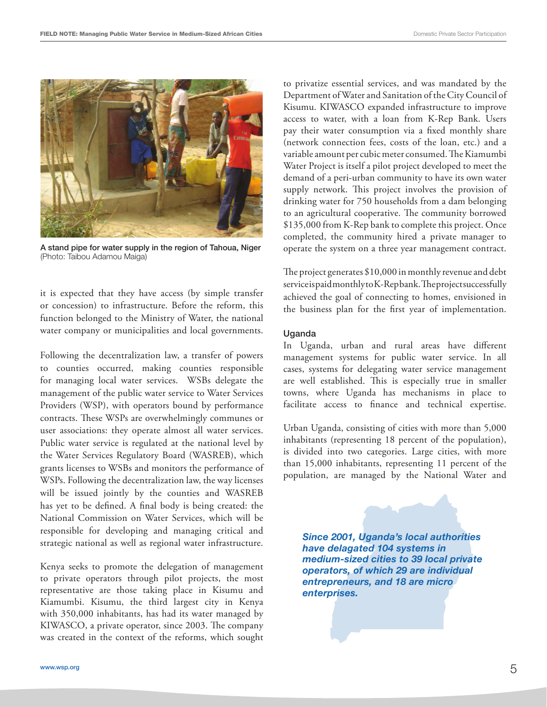

A stand pipe for water supply in the region of Tahoua, Niger (Photo: Taibou Adamou Maiga)

it is expected that they have access (by simple transfer or concession) to infrastructure. Before the reform, this function belonged to the Ministry of Water, the national water company or municipalities and local governments.

Following the decentralization law, a transfer of powers to counties occurred, making counties responsible for managing local water services. WSBs delegate the management of the public water service to Water Services Providers (WSP), with operators bound by performance contracts. These WSPs are overwhelmingly communes or user associations: they operate almost all water services. Public water service is regulated at the national level by the Water Services Regulatory Board (WASREB), which grants licenses to WSBs and monitors the performance of WSPs. Following the decentralization law, the way licenses will be issued jointly by the counties and WASREB has yet to be defined. A final body is being created: the National Commission on Water Services, which will be responsible for developing and managing critical and strategic national as well as regional water infrastructure.

Kenya seeks to promote the delegation of management to private operators through pilot projects, the most representative are those taking place in Kisumu and Kiamumbi. Kisumu, the third largest city in Kenya with 350,000 inhabitants, has had its water managed by KIWASCO, a private operator, since 2003. The company was created in the context of the reforms, which sought

to privatize essential services, and was mandated by the Department of Water and Sanitation of the City Council of Kisumu. KIWASCO expanded infrastructure to improve access to water, with a loan from K-Rep Bank. Users pay their water consumption via a fixed monthly share (network connection fees, costs of the loan, etc.) and a variable amount per cubic meter consumed. The Kiamumbi Water Project is itself a pilot project developed to meet the demand of a peri-urban community to have its own water supply network. This project involves the provision of drinking water for 750 households from a dam belonging to an agricultural cooperative. The community borrowed \$135,000 from K-Rep bank to complete this project. Once completed, the community hired a private manager to operate the system on a three year management contract.

The project generates \$10,000 in monthly revenue and debt service is paid monthly to K-Rep bank. The project successfully achieved the goal of connecting to homes, envisioned in the business plan for the first year of implementation.

#### Uganda

In Uganda, urban and rural areas have different management systems for public water service. In all cases, systems for delegating water service management are well established. This is especially true in smaller towns, where Uganda has mechanisms in place to facilitate access to finance and technical expertise.

Urban Uganda, consisting of cities with more than 5,000 inhabitants (representing 18 percent of the population), is divided into two categories. Large cities, with more than 15,000 inhabitants, representing 11 percent of the population, are managed by the National Water and

*Since 2001, Uganda's local authorities have delagated 104 systems in medium-sized cities to 39 local private operators, of which 29 are individual entrepreneurs, and 18 are micro enterprises.*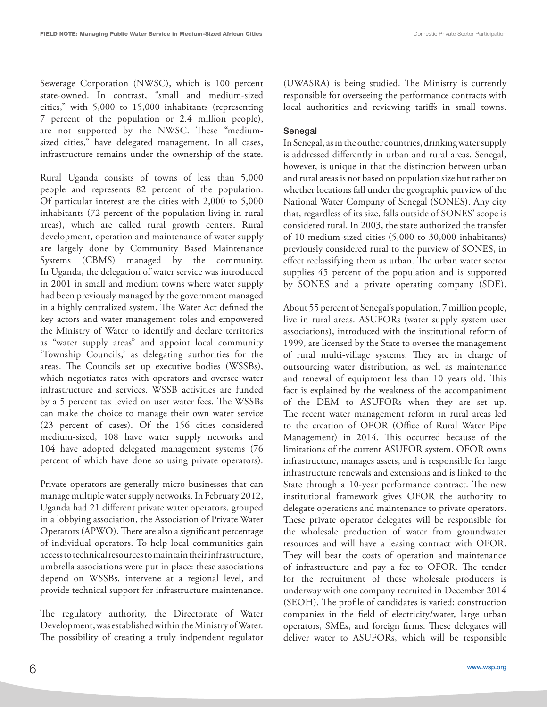Sewerage Corporation (NWSC), which is 100 percent state-owned. In contrast, "small and medium-sized cities," with 5,000 to 15,000 inhabitants (representing 7 percent of the population or 2.4 million people), are not supported by the NWSC. These "mediumsized cities," have delegated management. In all cases, infrastructure remains under the ownership of the state.

Rural Uganda consists of towns of less than 5,000 people and represents 82 percent of the population. Of particular interest are the cities with 2,000 to 5,000 inhabitants (72 percent of the population living in rural areas), which are called rural growth centers. Rural development, operation and maintenance of water supply are largely done by Community Based Maintenance Systems (CBMS) managed by the community. In Uganda, the delegation of water service was introduced in 2001 in small and medium towns where water supply had been previously managed by the government managed in a highly centralized system. The Water Act defined the key actors and water management roles and empowered the Ministry of Water to identify and declare territories as "water supply areas" and appoint local community 'Township Councils,' as delegating authorities for the areas. The Councils set up executive bodies (WSSBs), which negotiates rates with operators and oversee water infrastructure and services. WSSB activities are funded by a 5 percent tax levied on user water fees. The WSSBs can make the choice to manage their own water service (23 percent of cases). Of the 156 cities considered medium-sized, 108 have water supply networks and 104 have adopted delegated management systems (76 percent of which have done so using private operators).

Private operators are generally micro businesses that can manage multiple water supply networks. In February 2012, Uganda had 21 different private water operators, grouped in a lobbying association, the Association of Private Water Operators (APWO). There are also a significant percentage of individual operators. To help local communities gain access to technical resources to maintain their infrastructure, umbrella associations were put in place: these associations depend on WSSBs, intervene at a regional level, and provide technical support for infrastructure maintenance.

The regulatory authority, the Directorate of Water Development, was established within the Ministry of Water. The possibility of creating a truly indpendent regulator

(UWASRA) is being studied. The Ministry is currently responsible for overseeing the performance contracts with local authorities and reviewing tariffs in small towns.

#### Senegal

In Senegal, as in the outher countries, drinking water supply is addressed differently in urban and rural areas. Senegal, however, is unique in that the distinction between urban and rural areas is not based on population size but rather on whether locations fall under the geographic purview of the National Water Company of Senegal (SONES). Any city that, regardless of its size, falls outside of SONES' scope is considered rural. In 2003, the state authorized the transfer of 10 medium-sized cities (5,000 to 30,000 inhabitants) previously considered rural to the purview of SONES, in effect reclassifying them as urban. The urban water sector supplies 45 percent of the population and is supported by SONES and a private operating company (SDE).

About 55 percent of Senegal's population, 7 million people, live in rural areas. ASUFORs (water supply system user associations), introduced with the institutional reform of 1999, are licensed by the State to oversee the management of rural multi-village systems. They are in charge of outsourcing water distribution, as well as maintenance and renewal of equipment less than 10 years old. This fact is explained by the weakness of the accompaniment of the DEM to ASUFORs when they are set up. The recent water management reform in rural areas led to the creation of OFOR (Office of Rural Water Pipe Management) in 2014. This occurred because of the limitations of the current ASUFOR system. OFOR owns infrastructure, manages assets, and is responsible for large infrastructure renewals and extensions and is linked to the State through a 10-year performance contract. The new institutional framework gives OFOR the authority to delegate operations and maintenance to private operators. These private operator delegates will be responsible for the wholesale production of water from groundwater resources and will have a leasing contract with OFOR. They will bear the costs of operation and maintenance of infrastructure and pay a fee to OFOR. The tender for the recruitment of these wholesale producers is underway with one company recruited in December 2014 (SEOH). The profile of candidates is varied: construction companies in the field of electricity/water, large urban operators, SMEs, and foreign firms. These delegates will deliver water to ASUFORs, which will be responsible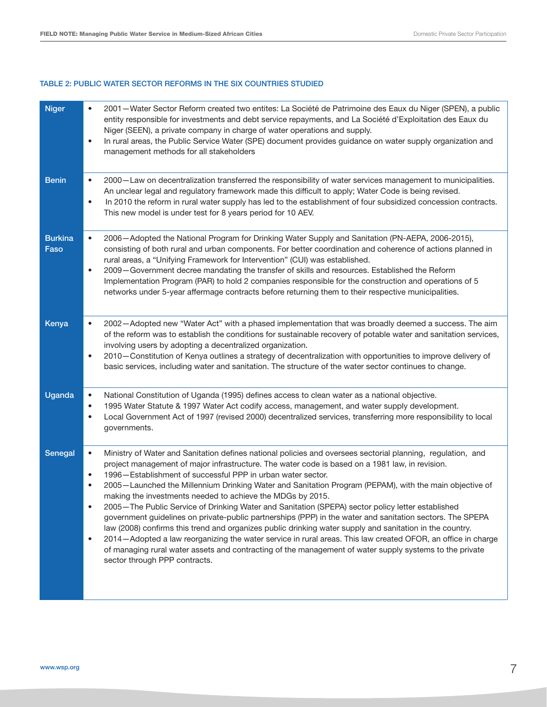#### Table 2: Public water sector reforms in the six countries studied

| <b>Niger</b>           | 2001 – Water Sector Reform created two entites: La Société de Patrimoine des Eaux du Niger (SPEN), a public<br>entity responsible for investments and debt service repayments, and La Société d'Exploitation des Eaux du<br>Niger (SEEN), a private company in charge of water operations and supply.<br>In rural areas, the Public Service Water (SPE) document provides guidance on water supply organization and<br>$\bullet$<br>management methods for all stakeholders                                                                                                                                                                                                                                                                                                                                                                                                                                                                                                                                                                                                                               |
|------------------------|-----------------------------------------------------------------------------------------------------------------------------------------------------------------------------------------------------------------------------------------------------------------------------------------------------------------------------------------------------------------------------------------------------------------------------------------------------------------------------------------------------------------------------------------------------------------------------------------------------------------------------------------------------------------------------------------------------------------------------------------------------------------------------------------------------------------------------------------------------------------------------------------------------------------------------------------------------------------------------------------------------------------------------------------------------------------------------------------------------------|
| <b>Benin</b>           | 2000-Law on decentralization transferred the responsibility of water services management to municipalities.<br>$\bullet$<br>An unclear legal and regulatory framework made this difficult to apply; Water Code is being revised.<br>In 2010 the reform in rural water supply has led to the establishment of four subsidized concession contracts.<br>$\bullet$<br>This new model is under test for 8 years period for 10 AEV.                                                                                                                                                                                                                                                                                                                                                                                                                                                                                                                                                                                                                                                                            |
| <b>Burkina</b><br>Faso | 2006-Adopted the National Program for Drinking Water Supply and Sanitation (PN-AEPA, 2006-2015),<br>$\bullet$<br>consisting of both rural and urban components. For better coordination and coherence of actions planned in<br>rural areas, a "Unifying Framework for Intervention" (CUI) was established.<br>2009 - Government decree mandating the transfer of skills and resources. Established the Reform<br>$\bullet$<br>Implementation Program (PAR) to hold 2 companies responsible for the construction and operations of 5<br>networks under 5-year affermage contracts before returning them to their respective municipalities.                                                                                                                                                                                                                                                                                                                                                                                                                                                                |
| Kenya                  | 2002-Adopted new "Water Act" with a phased implementation that was broadly deemed a success. The aim<br>$\bullet$<br>of the reform was to establish the conditions for sustainable recovery of potable water and sanitation services,<br>involving users by adopting a decentralized organization.<br>2010 – Constitution of Kenya outlines a strategy of decentralization with opportunities to improve delivery of<br>$\bullet$<br>basic services, including water and sanitation. The structure of the water sector continues to change.                                                                                                                                                                                                                                                                                                                                                                                                                                                                                                                                                               |
| <b>Uganda</b>          | National Constitution of Uganda (1995) defines access to clean water as a national objective.<br>$\bullet$<br>1995 Water Statute & 1997 Water Act codify access, management, and water supply development.<br>$\bullet$<br>Local Government Act of 1997 (revised 2000) decentralized services, transferring more responsibility to local<br>$\bullet$<br>governments.                                                                                                                                                                                                                                                                                                                                                                                                                                                                                                                                                                                                                                                                                                                                     |
| Senegal                | Ministry of Water and Sanitation defines national policies and oversees sectorial planning, regulation, and<br>$\bullet$<br>project management of major infrastructure. The water code is based on a 1981 law, in revision.<br>1996 - Establishment of successful PPP in urban water sector.<br>$\bullet$<br>2005 - Launched the Millennium Drinking Water and Sanitation Program (PEPAM), with the main objective of<br>$\bullet$<br>making the investments needed to achieve the MDGs by 2015.<br>2005-The Public Service of Drinking Water and Sanitation (SPEPA) sector policy letter established<br>government guidelines on private-public partnerships (PPP) in the water and sanitation sectors. The SPEPA<br>law (2008) confirms this trend and organizes public drinking water supply and sanitation in the country.<br>2014 – Adopted a law reorganizing the water service in rural areas. This law created OFOR, an office in charge<br>$\bullet$<br>of managing rural water assets and contracting of the management of water supply systems to the private<br>sector through PPP contracts. |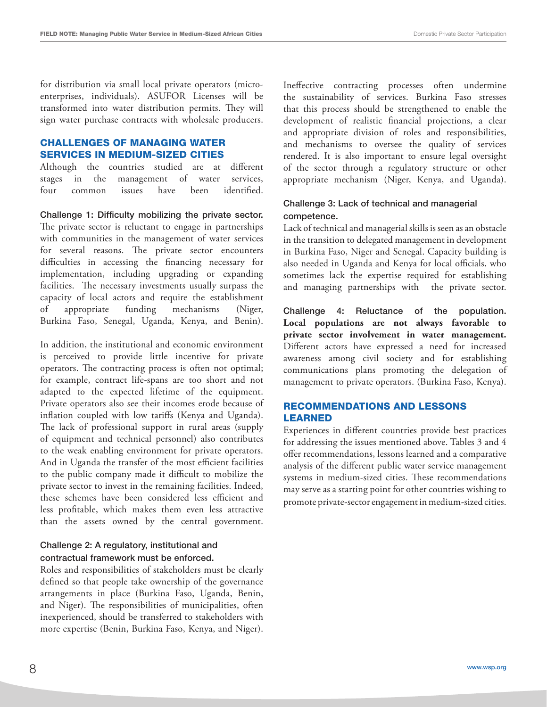for distribution via small local private operators (microenterprises, individuals). ASUFOR Licenses will be transformed into water distribution permits. They will sign water purchase contracts with wholesale producers.

#### CHALLENGES OF MANAGING WATER SERVICES IN MEDIUM-SIZED CITIES

Although the countries studied are at different stages in the management of water services, four common issues have been identified.

Challenge 1: Difficulty mobilizing the private sector. The private sector is reluctant to engage in partnerships with communities in the management of water services for several reasons. The private sector encounters difficulties in accessing the financing necessary for implementation, including upgrading or expanding facilities. The necessary investments usually surpass the capacity of local actors and require the establishment of appropriate funding mechanisms (Niger, Burkina Faso, Senegal, Uganda, Kenya, and Benin).

In addition, the institutional and economic environment is perceived to provide little incentive for private operators. The contracting process is often not optimal; for example, contract life-spans are too short and not adapted to the expected lifetime of the equipment. Private operators also see their incomes erode because of inflation coupled with low tariffs (Kenya and Uganda). The lack of professional support in rural areas (supply of equipment and technical personnel) also contributes to the weak enabling environment for private operators. And in Uganda the transfer of the most efficient facilities to the public company made it difficult to mobilize the private sector to invest in the remaining facilities. Indeed, these schemes have been considered less efficient and less profitable, which makes them even less attractive than the assets owned by the central government.

#### Challenge 2: A regulatory, institutional and contractual framework must be enforced.

Roles and responsibilities of stakeholders must be clearly defined so that people take ownership of the governance arrangements in place (Burkina Faso, Uganda, Benin, and Niger). The responsibilities of municipalities, often inexperienced, should be transferred to stakeholders with more expertise (Benin, Burkina Faso, Kenya, and Niger).

Ineffective contracting processes often undermine the sustainability of services. Burkina Faso stresses that this process should be strengthened to enable the development of realistic financial projections, a clear and appropriate division of roles and responsibilities, and mechanisms to oversee the quality of services rendered. It is also important to ensure legal oversight of the sector through a regulatory structure or other appropriate mechanism (Niger, Kenya, and Uganda).

#### Challenge 3: Lack of technical and managerial competence.

Lack of technical and managerial skills is seen as an obstacle in the transition to delegated management in development in Burkina Faso, Niger and Senegal. Capacity building is also needed in Uganda and Kenya for local officials, who sometimes lack the expertise required for establishing and managing partnerships with the private sector.

Challenge 4: Reluctance of the population. **Local populations are not always favorable to private sector involvement in water management.** Different actors have expressed a need for increased awareness among civil society and for establishing communications plans promoting the delegation of management to private operators. (Burkina Faso, Kenya).

#### RECOMMENDATIONS AND LESSONS LEARNED

Experiences in different countries provide best practices for addressing the issues mentioned above. Tables 3 and 4 offer recommendations, lessons learned and a comparative analysis of the different public water service management systems in medium-sized cities. These recommendations may serve as a starting point for other countries wishing to promote private-sector engagement in medium-sized cities.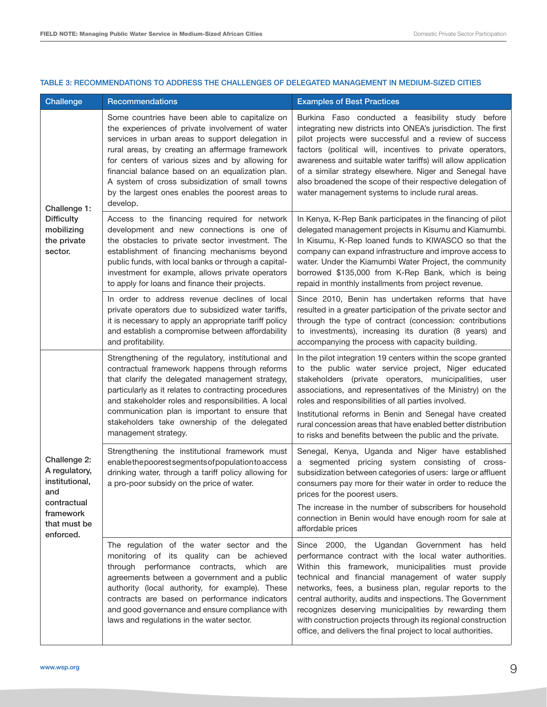| Challenge                                                                                                       | <b>Recommendations</b>                                                                                                                                                                                                                                                                                                                                                                                                             | <b>Examples of Best Practices</b>                                                                                                                                                                                                                                                                                                                                                                                                                                                                                                  |
|-----------------------------------------------------------------------------------------------------------------|------------------------------------------------------------------------------------------------------------------------------------------------------------------------------------------------------------------------------------------------------------------------------------------------------------------------------------------------------------------------------------------------------------------------------------|------------------------------------------------------------------------------------------------------------------------------------------------------------------------------------------------------------------------------------------------------------------------------------------------------------------------------------------------------------------------------------------------------------------------------------------------------------------------------------------------------------------------------------|
| Challenge 1:<br><b>Difficulty</b><br>mobilizing<br>the private<br>sector.                                       | Some countries have been able to capitalize on<br>the experiences of private involvement of water<br>services in urban areas to support delegation in<br>rural areas, by creating an affermage framework<br>for centers of various sizes and by allowing for<br>financial balance based on an equalization plan.<br>A system of cross subsidization of small towns<br>by the largest ones enables the poorest areas to<br>develop. | Burkina Faso conducted a feasibility study before<br>integrating new districts into ONEA's jurisdiction. The first<br>pilot projects were successful and a review of success<br>factors (political will, incentives to private operators,<br>awareness and suitable water tariffs) will allow application<br>of a similar strategy elsewhere. Niger and Senegal have<br>also broadened the scope of their respective delegation of<br>water management systems to include rural areas.                                             |
|                                                                                                                 | Access to the financing required for network<br>development and new connections is one of<br>the obstacles to private sector investment. The<br>establishment of financing mechanisms beyond<br>public funds, with local banks or through a capital-<br>investment for example, allows private operators<br>to apply for loans and finance their projects.                                                                         | In Kenya, K-Rep Bank participates in the financing of pilot<br>delegated management projects in Kisumu and Kiamumbi.<br>In Kisumu, K-Rep loaned funds to KIWASCO so that the<br>company can expand infrastructure and improve access to<br>water. Under the Kiamumbi Water Project, the community<br>borrowed \$135,000 from K-Rep Bank, which is being<br>repaid in monthly installments from project revenue.                                                                                                                    |
|                                                                                                                 | In order to address revenue declines of local<br>private operators due to subsidized water tariffs,<br>it is necessary to apply an appropriate tariff policy<br>and establish a compromise between affordability<br>and profitability.                                                                                                                                                                                             | Since 2010, Benin has undertaken reforms that have<br>resulted in a greater participation of the private sector and<br>through the type of contract (concession: contributions<br>to investments), increasing its duration (8 years) and<br>accompanying the process with capacity building.                                                                                                                                                                                                                                       |
| Challenge 2:<br>A regulatory,<br>institutional,<br>and<br>contractual<br>framework<br>that must be<br>enforced. | Strengthening of the regulatory, institutional and<br>contractual framework happens through reforms<br>that clarify the delegated management strategy,<br>particularly as it relates to contracting procedures<br>and stakeholder roles and responsibilities. A local<br>communication plan is important to ensure that<br>stakeholders take ownership of the delegated<br>management strategy.                                    | In the pilot integration 19 centers within the scope granted<br>to the public water service project, Niger educated<br>stakeholders (private operators, municipalities, user<br>associations, and representatives of the Ministry) on the<br>roles and responsibilities of all parties involved.<br>Institutional reforms in Benin and Senegal have created<br>rural concession areas that have enabled better distribution<br>to risks and benefits between the public and the private.                                           |
|                                                                                                                 | Strengthening the institutional framework must<br>enablethepoorestsegments of population to access<br>drinking water, through a tariff policy allowing for<br>a pro-poor subsidy on the price of water.                                                                                                                                                                                                                            | Senegal, Kenya, Uganda and Niger have established<br>segmented pricing system consisting of cross-<br>a<br>subsidization between categories of users: large or affluent<br>consumers pay more for their water in order to reduce the<br>prices for the poorest users.<br>The increase in the number of subscribers for household<br>connection in Benin would have enough room for sale at<br>affordable prices                                                                                                                    |
|                                                                                                                 | The regulation of the water sector and the<br>monitoring of its quality can be achieved<br>through performance contracts, which are<br>agreements between a government and a public<br>authority (local authority, for example). These<br>contracts are based on performance indicators<br>and good governance and ensure compliance with<br>laws and regulations in the water sector.                                             | Since 2000, the Ugandan Government has held<br>performance contract with the local water authorities.<br>Within this framework, municipalities must provide<br>technical and financial management of water supply<br>networks, fees, a business plan, regular reports to the<br>central authority, audits and inspections. The Government<br>recognizes deserving municipalities by rewarding them<br>with construction projects through its regional construction<br>office, and delivers the final project to local authorities. |

#### Table 3: Recommendations to address the challenges of delegated management in medium-sized cities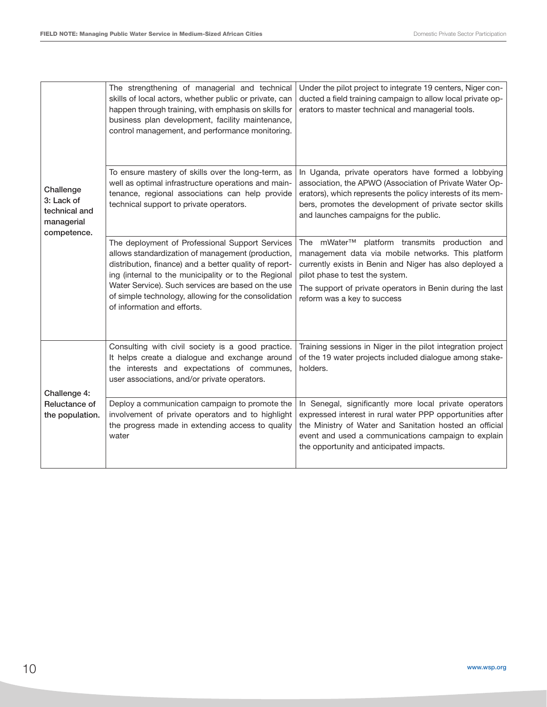| Challenge<br>3: Lack of<br>technical and<br>managerial<br>competence. | The strengthening of managerial and technical<br>skills of local actors, whether public or private, can<br>happen through training, with emphasis on skills for<br>business plan development, facility maintenance,<br>control management, and performance monitoring.                                                                                              | Under the pilot project to integrate 19 centers, Niger con-<br>ducted a field training campaign to allow local private op-<br>erators to master technical and managerial tools.                                                                                                                              |
|-----------------------------------------------------------------------|---------------------------------------------------------------------------------------------------------------------------------------------------------------------------------------------------------------------------------------------------------------------------------------------------------------------------------------------------------------------|--------------------------------------------------------------------------------------------------------------------------------------------------------------------------------------------------------------------------------------------------------------------------------------------------------------|
|                                                                       | To ensure mastery of skills over the long-term, as<br>well as optimal infrastructure operations and main-<br>tenance, regional associations can help provide<br>technical support to private operators.                                                                                                                                                             | In Uganda, private operators have formed a lobbying<br>association, the APWO (Association of Private Water Op-<br>erators), which represents the policy interests of its mem-<br>bers, promotes the development of private sector skills<br>and launches campaigns for the public.                           |
|                                                                       | The deployment of Professional Support Services<br>allows standardization of management (production,<br>distribution, finance) and a better quality of report-<br>ing (internal to the municipality or to the Regional<br>Water Service). Such services are based on the use<br>of simple technology, allowing for the consolidation<br>of information and efforts. | platform transmits production and<br>The mWater <sup>™</sup><br>management data via mobile networks. This platform<br>currently exists in Benin and Niger has also deployed a<br>pilot phase to test the system.<br>The support of private operators in Benin during the last<br>reform was a key to success |
| Challenge 4:<br>Reluctance of<br>the population.                      | Consulting with civil society is a good practice.<br>It helps create a dialogue and exchange around<br>the interests and expectations of communes,<br>user associations, and/or private operators.                                                                                                                                                                  | Training sessions in Niger in the pilot integration project<br>of the 19 water projects included dialogue among stake-<br>holders.                                                                                                                                                                           |
|                                                                       | Deploy a communication campaign to promote the<br>involvement of private operators and to highlight<br>the progress made in extending access to quality<br>water                                                                                                                                                                                                    | In Senegal, significantly more local private operators<br>expressed interest in rural water PPP opportunities after<br>the Ministry of Water and Sanitation hosted an official<br>event and used a communications campaign to explain<br>the opportunity and anticipated impacts.                            |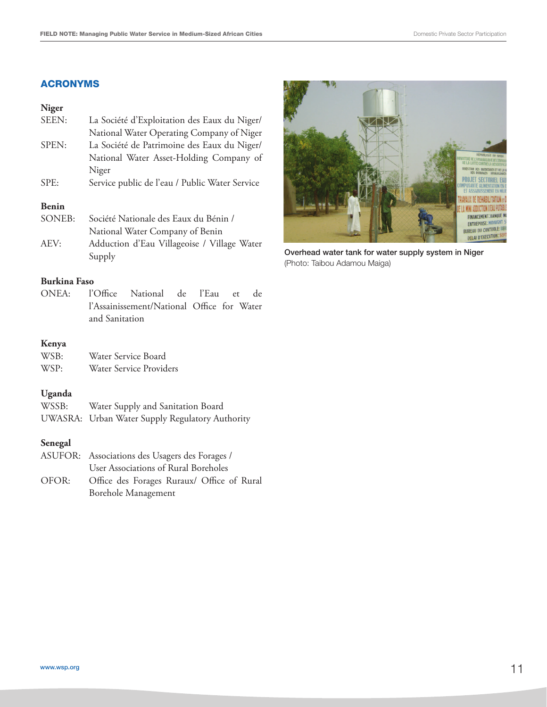#### ACRONYMS

#### **Niger**

| SEEN:                     | La Société d'Exploitation des Eaux du Niger/   |
|---------------------------|------------------------------------------------|
|                           | National Water Operating Company of Niger      |
| SPEN:                     | La Société de Patrimoine des Eaux du Niger/    |
|                           | National Water Asset-Holding Company of        |
|                           | Niger                                          |
| SPE:                      | Service public de l'eau / Public Water Service |
| $\mathbf{D}$ $\mathbf{L}$ |                                                |

#### **Benin**

|      | SONEB: Société Nationale des Eaux du Bénin / |  |  |
|------|----------------------------------------------|--|--|
|      | National Water Company of Benin              |  |  |
| AEV: | Adduction d'Eau Villageoise / Village Water  |  |  |
|      | Supply                                       |  |  |

#### **Burkina Faso**

ONEA: l'Office National de l'Eau et de l'Assainissement/National Office for Water and Sanitation

#### **Kenya**

| WSB: | Water Service Board     |
|------|-------------------------|
| WSP: | Water Service Providers |

#### **Uganda**

| WSSB: | Water Supply and Sanitation Board |  |  |  |  |  |  |
|-------|-----------------------------------|--|--|--|--|--|--|
|-------|-----------------------------------|--|--|--|--|--|--|

UWASRA: Urban Water Supply Regulatory Authority

#### **Senegal**

| ASUFOR: Associations des Usagers des Forages /   |  |  |
|--------------------------------------------------|--|--|
| User Associations of Rural Boreholes             |  |  |
| OFOR: Office des Forages Ruraux/ Office of Rural |  |  |
| Borehole Management                              |  |  |



Overhead water tank for water supply system in Niger (Photo: Taibou Adamou Maiga)